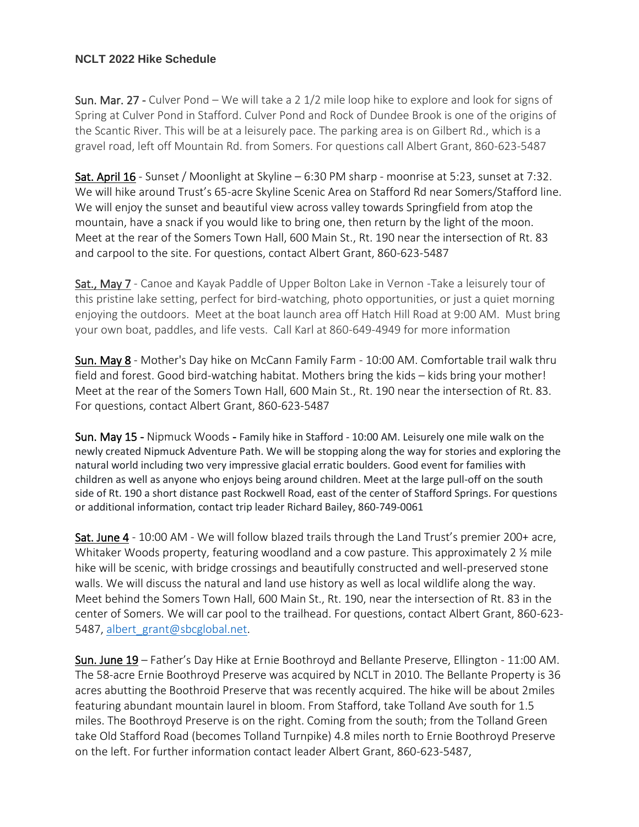## **NCLT 2022 Hike Schedule**

Sun. Mar. 27 - Culver Pond – We will take a 2 1/2 mile loop hike to explore and look for signs of Spring at Culver Pond in Stafford. Culver Pond and Rock of Dundee Brook is one of the origins of the Scantic River. This will be at a leisurely pace. The parking area is on Gilbert Rd., which is a gravel road, left off Mountain Rd. from Somers. For questions call Albert Grant, 860-623-5487

Sat. April 16 - Sunset / Moonlight at Skyline – 6:30 PM sharp - moonrise at 5:23, sunset at 7:32. We will hike around Trust's 65-acre Skyline Scenic Area on Stafford Rd near Somers/Stafford line. We will enjoy the sunset and beautiful view across valley towards Springfield from atop the mountain, have a snack if you would like to bring one, then return by the light of the moon. Meet at the rear of the Somers Town Hall, 600 Main St., Rt. 190 near the intersection of Rt. 83 and carpool to the site. For questions, contact Albert Grant, 860-623-5487

Sat., May 7 - Canoe and Kayak Paddle of Upper Bolton Lake in Vernon -Take a leisurely tour of this pristine lake setting, perfect for bird-watching, photo opportunities, or just a quiet morning enjoying the outdoors. Meet at the boat launch area off Hatch Hill Road at 9:00 AM. Must bring your own boat, paddles, and life vests. Call Karl at 860-649-4949 for more information

Sun. May 8 - Mother's Day hike on McCann Family Farm - 10:00 AM. Comfortable trail walk thru field and forest. Good bird-watching habitat. Mothers bring the kids – kids bring your mother! Meet at the rear of the Somers Town Hall, 600 Main St., Rt. 190 near the intersection of Rt. 83. For questions, contact Albert Grant, 860-623-5487

Sun. May 15 - Nipmuck Woods - Family hike in Stafford - 10:00 AM. Leisurely one mile walk on the newly created Nipmuck Adventure Path. We will be stopping along the way for stories and exploring the natural world including two very impressive glacial erratic boulders. Good event for families with children as well as anyone who enjoys being around children. Meet at the large pull-off on the south side of Rt. 190 a short distance past Rockwell Road, east of the center of Stafford Springs. For questions or additional information, contact trip leader Richard Bailey, 860-749-0061

Sat. June 4 - 10:00 AM - We will follow blazed trails through the Land Trust's premier 200+ acre, Whitaker Woods property, featuring woodland and a cow pasture. This approximately 2 % mile hike will be scenic, with bridge crossings and beautifully constructed and well-preserved stone walls. We will discuss the natural and land use history as well as local wildlife along the way. Meet behind the Somers Town Hall, 600 Main St., Rt. 190, near the intersection of Rt. 83 in the center of Somers. We will car pool to the trailhead. For questions, contact Albert Grant, 860-623 5487, [albert\\_grant@sbcglobal.net.](mailto:albert_grant@sbcglobal.net)

Sun. June 19 – Father's Day Hike at Ernie Boothroyd and Bellante Preserve, Ellington - 11:00 AM. The 58-acre Ernie Boothroyd Preserve was acquired by NCLT in 2010. The Bellante Property is 36 acres abutting the Boothroid Preserve that was recently acquired. The hike will be about 2miles featuring abundant mountain laurel in bloom. From Stafford, take Tolland Ave south for 1.5 miles. The Boothroyd Preserve is on the right. Coming from the south; from the Tolland Green take Old Stafford Road (becomes Tolland Turnpike) 4.8 miles north to Ernie Boothroyd Preserve on the left. For further information contact leader Albert Grant, 860-623-5487,